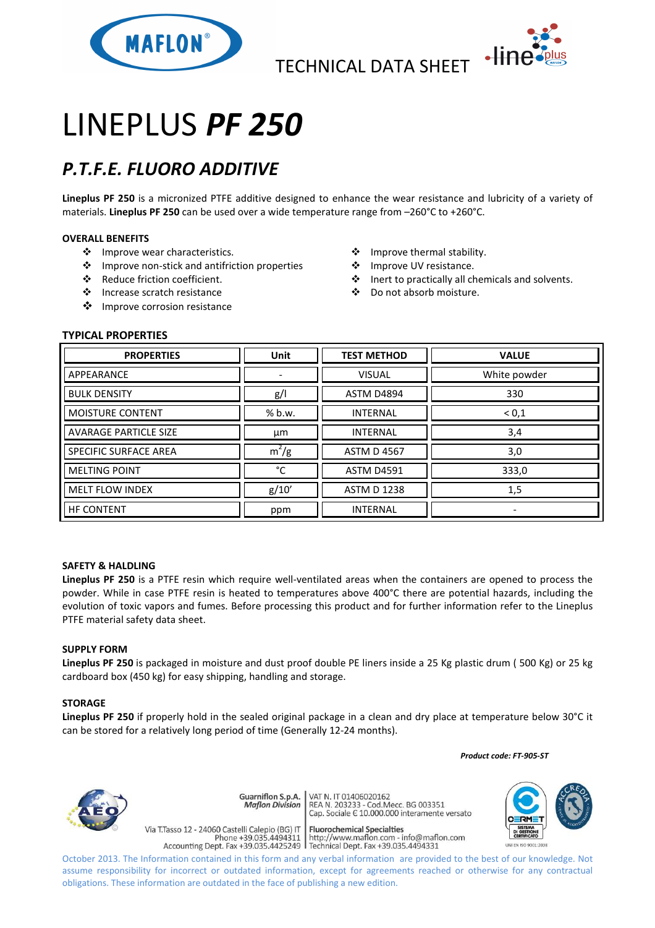



# LINEPLUS *PF 250*

## *P.T.F.E. FLUORO ADDITIVE*

**Lineplus PF 250** is a micronized PTFE additive designed to enhance the wear resistance and lubricity of a variety of materials. **Lineplus PF 250** can be used over a wide temperature range from –260°C to +260°C.

### **OVERALL BENEFITS**

- ❖ Improve wear characteristics.
- Improve non-stick and antifriction properties
- Reduce friction coefficient.
- Increase scratch resistance
- ❖ Improve corrosion resistance
- Improve thermal stability.
- ❖ Improve UV resistance.
- Inert to practically all chemicals and solvents.
- Do not absorb moisture.

### **TYPICAL PROPERTIES**

| <b>PROPERTIES</b>            | <b>Unit</b> | <b>TEST METHOD</b> | <b>VALUE</b> |
|------------------------------|-------------|--------------------|--------------|
| APPEARANCE                   |             | <b>VISUAL</b>      | White powder |
| <b>BULK DENSITY</b>          | g/          | <b>ASTM D4894</b>  | 330          |
| <b>MOISTURE CONTENT</b>      | % b.w.      | <b>INTERNAL</b>    | < 0, 1       |
| <b>AVARAGE PARTICLE SIZE</b> | μm          | <b>INTERNAL</b>    | 3,4          |
| <b>SPECIFIC SURFACE AREA</b> | $m^2/g$     | <b>ASTM D 4567</b> | 3,0          |
| <b>MELTING POINT</b>         | °C          | <b>ASTM D4591</b>  | 333,0        |
| <b>MELT FLOW INDEX</b>       | g/10'       | <b>ASTM D 1238</b> | 1,5          |
| <b>HF CONTENT</b>            | ppm         | <b>INTERNAL</b>    | ۰            |

#### **SAFETY & HALDLING**

**Lineplus PF 250** is a PTFE resin which require well-ventilated areas when the containers are opened to process the powder. While in case PTFE resin is heated to temperatures above 400°C there are potential hazards, including the evolution of toxic vapors and fumes. Before processing this product and for further information refer to the Lineplus PTFE material safety data sheet.

#### **SUPPLY FORM**

**Lineplus PF 250** is packaged in moisture and dust proof double PE liners inside a 25 Kg plastic drum ( 500 Kg) or 25 kg cardboard box (450 kg) for easy shipping, handling and storage.

#### **STORAGE**

**Lineplus PF 250** if properly hold in the sealed original package in a clean and dry place at temperature below 30°C it can be stored for a relatively long period of time (Generally 12-24 months).

 *Product code: FT-905-ST*



VAT N. IT 01406020162 Guarniflon S.p.A. REA N. 11 01400020102<br>REA N. 203233 - Cod.Mecc. BG 003351<br>Cap. Sociale E 10.000.000 interamente versato **Maflon Division** 

Via T.Tasso 12 - 24060 Castelli Calepio (BG) IT

**Fluorochemical Specialties** 

rideso 12 - 24060 Castelli Calepio (BG) if<br>Phone +39.035.4494311 http://www.maflon.com - info@maflon.com<br>Accounting Dept. Fax +39.035.4425249 Technical Dept. Fax +39.035.4494331



October 2013. The Information contained in this form and any verbal information are provided to the best of our knowledge. Not assume responsibility for incorrect or outdated information, except for agreements reached or otherwise for any contractual obligations. These information are outdated in the face of publishing a new edition.